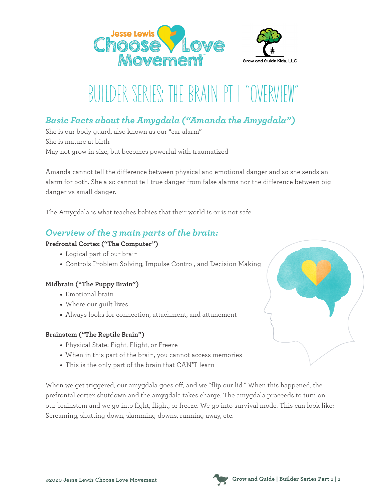



# BUILDER SERIES: THE BRAIN PT I "OVERY

## *Basic Facts about the Amygdala ("Amanda the Amygdala")*

She is our body guard, also known as our "car alarm" She is mature at birth May not grow in size, but becomes powerful with traumatized

Amanda cannot tell the difference between physical and emotional danger and so she sends an alarm for both. She also cannot tell true danger from false alarms nor the difference between big danger vs small danger.

The Amygdala is what teaches babies that their world is or is not safe.

### *Overview of the 3 main parts of the brain:*

#### **Prefrontal Cortex ("The Computer")**

- Logical part of our brain
- Controls Problem Solving, Impulse Control, and Decision Making

#### **Midbrain ("The Puppy Brain")**

- Emotional brain
- Where our guilt lives
- Always looks for connection, attachment, and attunement

#### **Brainstem ("The Reptile Brain")**

- Physical State: Fight, Flight, or Freeze
- When in this part of the brain, you cannot access memories
- This is the only part of the brain that CAN'T learn

When we get triggered, our amygdala goes off, and we "flip our lid." When this happened, the prefrontal cortex shutdown and the amygdala takes charge. The amygdala proceeds to turn on our brainstem and we go into fight, flight, or freeze. We go into survival mode. This can look like: Screaming, shutting down, slamming downs, running away, etc.